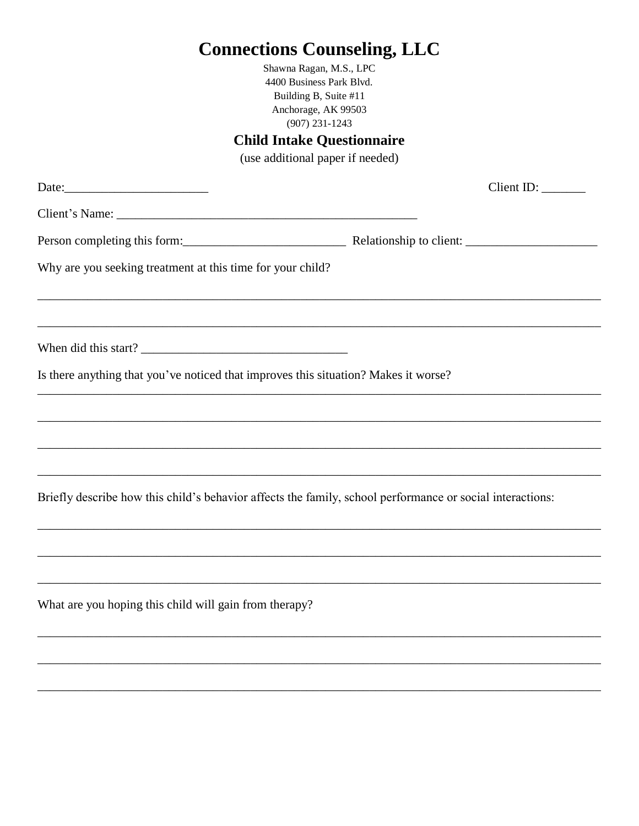|                                                                                     | <b>Connections Counseling, LLC</b>                                                                        |  |  |  |  |  |
|-------------------------------------------------------------------------------------|-----------------------------------------------------------------------------------------------------------|--|--|--|--|--|
|                                                                                     | Shawna Ragan, MSCP, LPC, LCPC, SEP                                                                        |  |  |  |  |  |
|                                                                                     | 741 Sesame St., Suite 1B                                                                                  |  |  |  |  |  |
| Anchorage, AK 99503<br>T: 907.231.1243 F: 907.561.0551                              |                                                                                                           |  |  |  |  |  |
|                                                                                     |                                                                                                           |  |  |  |  |  |
|                                                                                     | <b>Child Intake Questionnaire</b>                                                                         |  |  |  |  |  |
|                                                                                     | (use additional paper if needed)                                                                          |  |  |  |  |  |
|                                                                                     | Client ID:                                                                                                |  |  |  |  |  |
|                                                                                     |                                                                                                           |  |  |  |  |  |
|                                                                                     |                                                                                                           |  |  |  |  |  |
| Why are you seeking treatment at this time for your child?                          |                                                                                                           |  |  |  |  |  |
|                                                                                     |                                                                                                           |  |  |  |  |  |
|                                                                                     |                                                                                                           |  |  |  |  |  |
|                                                                                     |                                                                                                           |  |  |  |  |  |
| When did this start?                                                                |                                                                                                           |  |  |  |  |  |
| Is there anything that you've noticed that improves this situation? Makes it worse? |                                                                                                           |  |  |  |  |  |
|                                                                                     |                                                                                                           |  |  |  |  |  |
|                                                                                     |                                                                                                           |  |  |  |  |  |
|                                                                                     |                                                                                                           |  |  |  |  |  |
|                                                                                     |                                                                                                           |  |  |  |  |  |
|                                                                                     |                                                                                                           |  |  |  |  |  |
|                                                                                     | Briefly describe how this child's behavior affects the family, school performance or social interactions: |  |  |  |  |  |
|                                                                                     |                                                                                                           |  |  |  |  |  |
|                                                                                     |                                                                                                           |  |  |  |  |  |
|                                                                                     |                                                                                                           |  |  |  |  |  |
| What are you hoping this child will gain from therapy?                              |                                                                                                           |  |  |  |  |  |
|                                                                                     |                                                                                                           |  |  |  |  |  |
|                                                                                     |                                                                                                           |  |  |  |  |  |
|                                                                                     |                                                                                                           |  |  |  |  |  |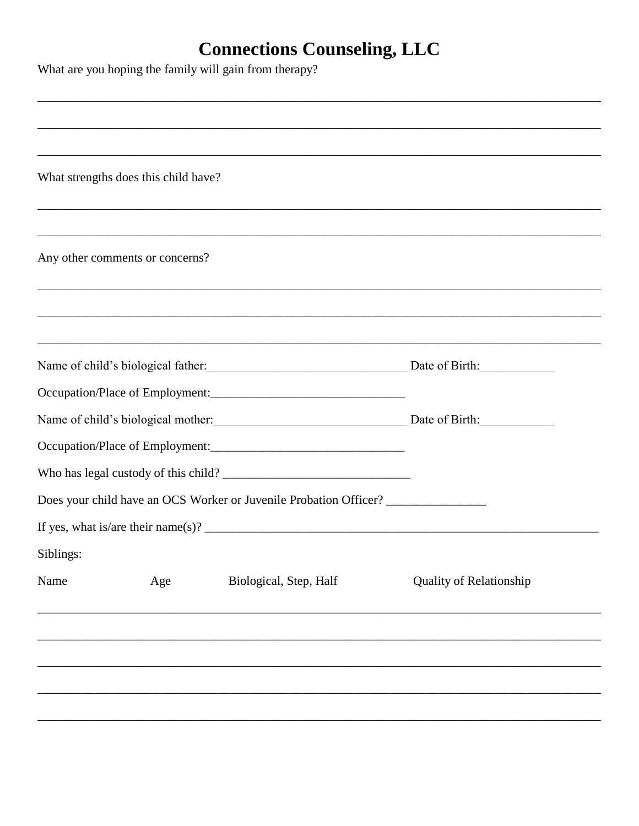What are you hoping the family will gain from therapy?

|           | What strengths does this child have? |                                                                                  |                                |
|-----------|--------------------------------------|----------------------------------------------------------------------------------|--------------------------------|
|           |                                      |                                                                                  |                                |
|           | Any other comments or concerns?      |                                                                                  |                                |
|           |                                      |                                                                                  |                                |
|           |                                      |                                                                                  |                                |
|           |                                      | Name of child's biological father: Date of Birth: Date of Birth:                 |                                |
|           |                                      | Occupation/Place of Employment: 2008 2010 2020 2021 2021 2022 2022 2023          |                                |
|           |                                      | Name of child's biological mother: Date of Birth: Date of Birth:                 |                                |
|           |                                      |                                                                                  |                                |
|           |                                      |                                                                                  |                                |
|           |                                      | Does your child have an OCS Worker or Juvenile Probation Officer? ______________ |                                |
|           |                                      |                                                                                  |                                |
| Siblings: |                                      |                                                                                  |                                |
| Name      | Age                                  | Biological, Step, Half                                                           | <b>Quality of Relationship</b> |
|           |                                      |                                                                                  |                                |
|           |                                      |                                                                                  |                                |
|           |                                      |                                                                                  |                                |
|           |                                      |                                                                                  |                                |
|           |                                      |                                                                                  |                                |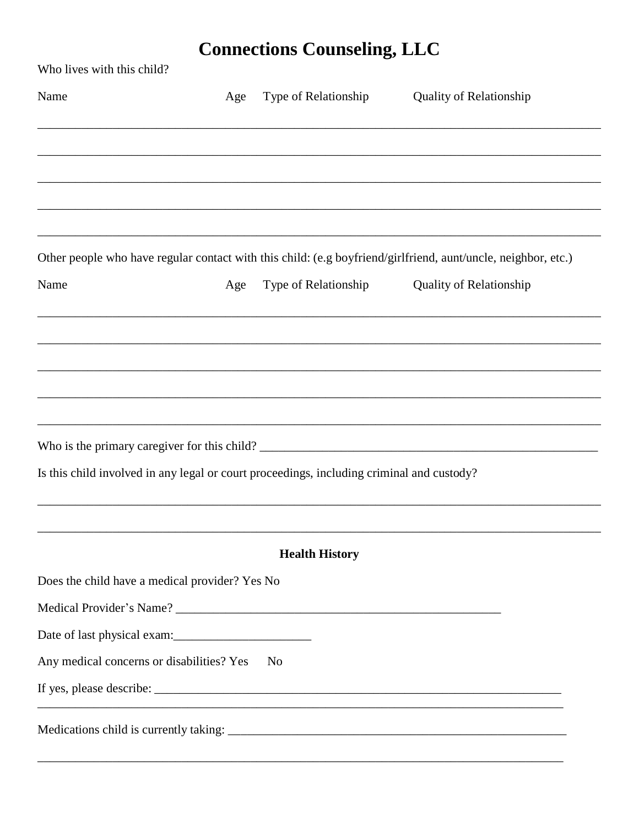| Who lives with this child?                                                                                    |     |                       |                                |
|---------------------------------------------------------------------------------------------------------------|-----|-----------------------|--------------------------------|
| Name                                                                                                          | Age | Type of Relationship  | <b>Quality of Relationship</b> |
|                                                                                                               |     |                       |                                |
|                                                                                                               |     |                       |                                |
|                                                                                                               |     |                       |                                |
|                                                                                                               |     |                       |                                |
| Other people who have regular contact with this child: (e.g boyfriend/girlfriend, aunt/uncle, neighbor, etc.) |     |                       |                                |
| Name                                                                                                          | Age | Type of Relationship  | <b>Quality of Relationship</b> |
|                                                                                                               |     |                       |                                |
|                                                                                                               |     |                       |                                |
|                                                                                                               |     |                       |                                |
|                                                                                                               |     |                       |                                |
|                                                                                                               |     |                       |                                |
| Is this child involved in any legal or court proceedings, including criminal and custody?                     |     |                       |                                |
|                                                                                                               |     |                       |                                |
|                                                                                                               |     | <b>Health History</b> |                                |
| Does the child have a medical provider? Yes No                                                                |     |                       |                                |
|                                                                                                               |     |                       |                                |
| Date of last physical exam:                                                                                   |     |                       |                                |
| Any medical concerns or disabilities? Yes                                                                     |     | N <sub>o</sub>        |                                |
|                                                                                                               |     |                       |                                |
|                                                                                                               |     |                       |                                |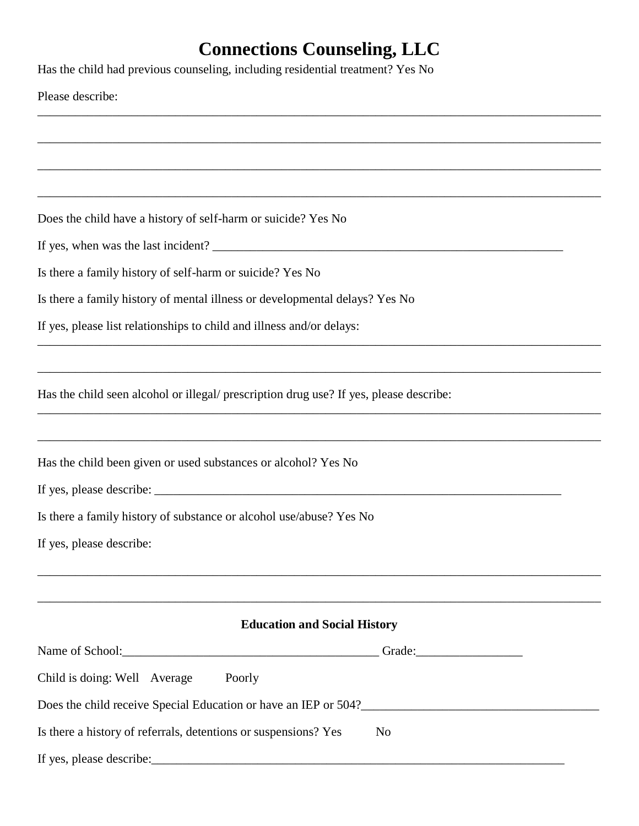\_\_\_\_\_\_\_\_\_\_\_\_\_\_\_\_\_\_\_\_\_\_\_\_\_\_\_\_\_\_\_\_\_\_\_\_\_\_\_\_\_\_\_\_\_\_\_\_\_\_\_\_\_\_\_\_\_\_\_\_\_\_\_\_\_\_\_\_\_\_\_\_\_\_\_\_\_\_\_\_\_\_\_\_\_\_\_\_\_\_

\_\_\_\_\_\_\_\_\_\_\_\_\_\_\_\_\_\_\_\_\_\_\_\_\_\_\_\_\_\_\_\_\_\_\_\_\_\_\_\_\_\_\_\_\_\_\_\_\_\_\_\_\_\_\_\_\_\_\_\_\_\_\_\_\_\_\_\_\_\_\_\_\_\_\_\_\_\_\_\_\_\_\_\_\_\_\_\_\_\_

\_\_\_\_\_\_\_\_\_\_\_\_\_\_\_\_\_\_\_\_\_\_\_\_\_\_\_\_\_\_\_\_\_\_\_\_\_\_\_\_\_\_\_\_\_\_\_\_\_\_\_\_\_\_\_\_\_\_\_\_\_\_\_\_\_\_\_\_\_\_\_\_\_\_\_\_\_\_\_\_\_\_\_\_\_\_\_\_\_\_

\_\_\_\_\_\_\_\_\_\_\_\_\_\_\_\_\_\_\_\_\_\_\_\_\_\_\_\_\_\_\_\_\_\_\_\_\_\_\_\_\_\_\_\_\_\_\_\_\_\_\_\_\_\_\_\_\_\_\_\_\_\_\_\_\_\_\_\_\_\_\_\_\_\_\_\_\_\_\_\_\_\_\_\_\_\_\_\_\_\_

\_\_\_\_\_\_\_\_\_\_\_\_\_\_\_\_\_\_\_\_\_\_\_\_\_\_\_\_\_\_\_\_\_\_\_\_\_\_\_\_\_\_\_\_\_\_\_\_\_\_\_\_\_\_\_\_\_\_\_\_\_\_\_\_\_\_\_\_\_\_\_\_\_\_\_\_\_\_\_\_\_\_\_\_\_\_\_\_\_\_

\_\_\_\_\_\_\_\_\_\_\_\_\_\_\_\_\_\_\_\_\_\_\_\_\_\_\_\_\_\_\_\_\_\_\_\_\_\_\_\_\_\_\_\_\_\_\_\_\_\_\_\_\_\_\_\_\_\_\_\_\_\_\_\_\_\_\_\_\_\_\_\_\_\_\_\_\_\_\_\_\_\_\_\_\_\_\_\_\_\_

\_\_\_\_\_\_\_\_\_\_\_\_\_\_\_\_\_\_\_\_\_\_\_\_\_\_\_\_\_\_\_\_\_\_\_\_\_\_\_\_\_\_\_\_\_\_\_\_\_\_\_\_\_\_\_\_\_\_\_\_\_\_\_\_\_\_\_\_\_\_\_\_\_\_\_\_\_\_\_\_\_\_\_\_\_\_\_\_\_\_

\_\_\_\_\_\_\_\_\_\_\_\_\_\_\_\_\_\_\_\_\_\_\_\_\_\_\_\_\_\_\_\_\_\_\_\_\_\_\_\_\_\_\_\_\_\_\_\_\_\_\_\_\_\_\_\_\_\_\_\_\_\_\_\_\_\_\_\_\_\_\_\_\_\_\_\_\_\_\_\_\_\_\_\_\_\_\_\_\_\_

If  $y = \frac{1}{2}$  and  $y = \frac{1}{2}$  and  $y = \frac{1}{2}$  and  $y = \frac{1}{2}$  and  $y = \frac{1}{2}$  and  $y = \frac{1}{2}$  and  $y = \frac{1}{2}$  and  $y = \frac{1}{2}$  and  $y = \frac{1}{2}$  and  $y = \frac{1}{2}$  and  $y = \frac{1}{2}$  and  $y = \frac{1}{2}$  and  $y = \frac{1}{2}$  and  $y = \frac{1}{2}$ 

Has the child had previous counseling, including residential treatment? Yes No

Does the child have a history of self-harm or suicide? Yes No

|  |  |  |  |  |  | If yes, when was the last incident? |  |
|--|--|--|--|--|--|-------------------------------------|--|
|--|--|--|--|--|--|-------------------------------------|--|

Is there a family history of self-harm or suicide? Yes No

Is there a family history of mental illness or developmental delays? Yes No

If yes, please list relationships to child and illness and/or delays:

Has the child seen alcohol or illegal/ prescription drug use? If yes, please describe:

Has the child been given or used substances or alcohol? Yes No

If yes, please describe: \_\_\_\_\_\_\_\_\_\_\_\_\_\_\_\_\_\_\_\_\_\_\_\_\_\_\_\_\_\_\_\_\_\_\_\_\_\_\_\_\_\_\_\_\_\_\_\_\_\_\_\_\_\_\_\_\_\_\_\_\_\_\_\_\_

Is there a family history of substance or alcohol use/abuse? Yes No

If yes, please describe:

#### **Education and Social History**

\_\_\_\_\_\_\_\_\_\_\_\_\_\_\_\_\_\_\_\_\_\_\_\_\_\_\_\_\_\_\_\_\_\_\_\_\_\_\_\_\_\_\_\_\_\_\_\_\_\_\_\_\_\_\_\_\_\_\_\_\_\_\_\_\_\_\_\_\_\_\_\_\_\_\_\_\_\_\_\_\_\_\_\_\_\_\_\_\_\_

\_\_\_\_\_\_\_\_\_\_\_\_\_\_\_\_\_\_\_\_\_\_\_\_\_\_\_\_\_\_\_\_\_\_\_\_\_\_\_\_\_\_\_\_\_\_\_\_\_\_\_\_\_\_\_\_\_\_\_\_\_\_\_\_\_\_\_\_\_\_\_\_\_\_\_\_\_\_\_\_\_\_\_\_\_\_\_\_\_\_

|                                                                 | Grade: Samuel Contract of the Second Second Second Second Second Second Second Second Second Second Second Second Second Second Second Second Second Second Second Second Second Second Second Second Second Second Second Sec |
|-----------------------------------------------------------------|--------------------------------------------------------------------------------------------------------------------------------------------------------------------------------------------------------------------------------|
| Child is doing: Well Average<br>Poorly                          |                                                                                                                                                                                                                                |
| Does the child receive Special Education or have an IEP or 504? |                                                                                                                                                                                                                                |
| Is there a history of referrals, detentions or suspensions? Yes | N <sub>0</sub>                                                                                                                                                                                                                 |
| If yes, please describe:                                        |                                                                                                                                                                                                                                |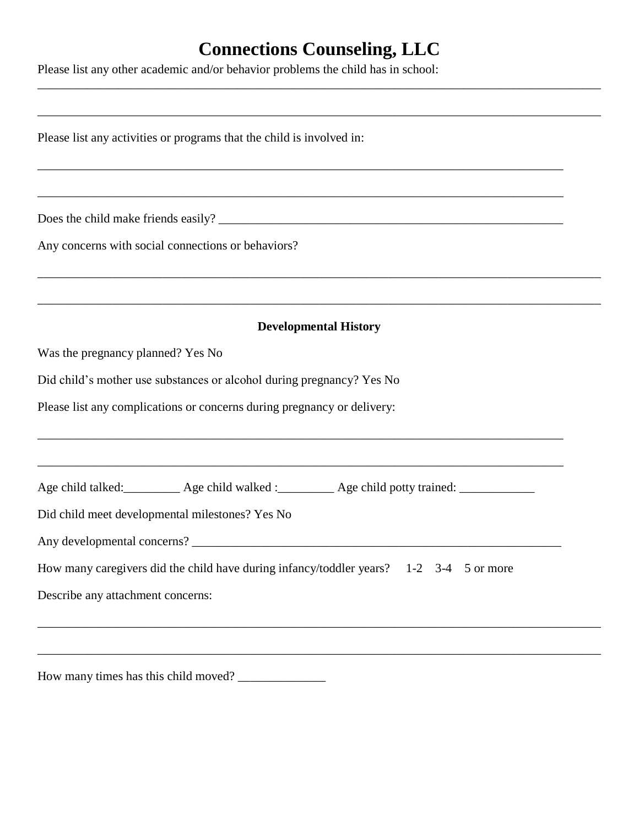\_\_\_\_\_\_\_\_\_\_\_\_\_\_\_\_\_\_\_\_\_\_\_\_\_\_\_\_\_\_\_\_\_\_\_\_\_\_\_\_\_\_\_\_\_\_\_\_\_\_\_\_\_\_\_\_\_\_\_\_\_\_\_\_\_\_\_\_\_\_\_\_\_\_\_\_\_\_\_\_\_\_\_\_\_\_\_\_\_\_

Please list any other academic and/or behavior problems the child has in school:

| Please list any activities or programs that the child is involved in:                          |  |
|------------------------------------------------------------------------------------------------|--|
|                                                                                                |  |
|                                                                                                |  |
| Any concerns with social connections or behaviors?                                             |  |
|                                                                                                |  |
|                                                                                                |  |
| <b>Developmental History</b>                                                                   |  |
| Was the pregnancy planned? Yes No                                                              |  |
| Did child's mother use substances or alcohol during pregnancy? Yes No                          |  |
| Please list any complications or concerns during pregnancy or delivery:                        |  |
|                                                                                                |  |
|                                                                                                |  |
| Age child talked: __________ Age child walked : _________ Age child potty trained: ___________ |  |
| Did child meet developmental milestones? Yes No                                                |  |
|                                                                                                |  |
| How many caregivers did the child have during infancy/toddler years? 1-2 3-4 5 or more         |  |
| Describe any attachment concerns:                                                              |  |
|                                                                                                |  |

How many times has this child moved? \_\_\_\_\_\_\_\_\_\_\_\_\_\_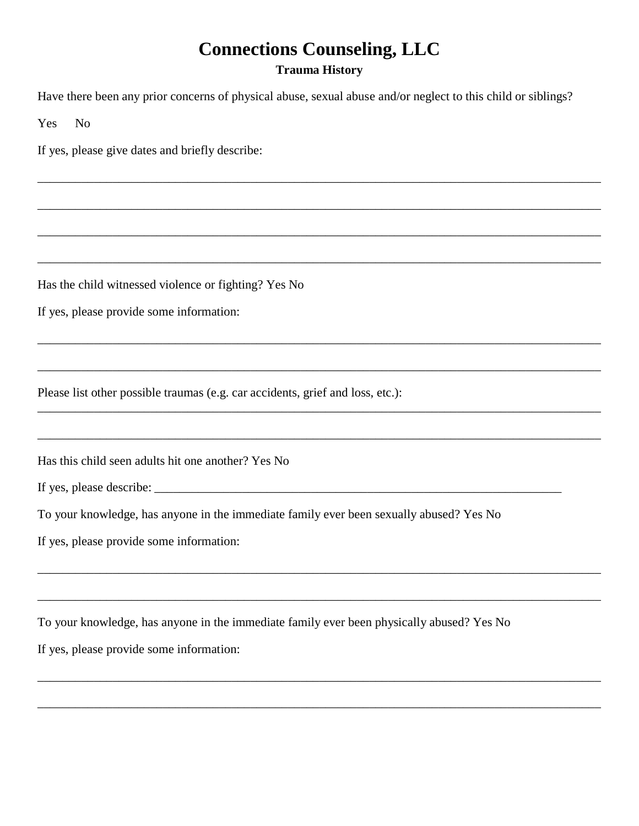#### **Trauma History**

\_\_\_\_\_\_\_\_\_\_\_\_\_\_\_\_\_\_\_\_\_\_\_\_\_\_\_\_\_\_\_\_\_\_\_\_\_\_\_\_\_\_\_\_\_\_\_\_\_\_\_\_\_\_\_\_\_\_\_\_\_\_\_\_\_\_\_\_\_\_\_\_\_\_\_\_\_\_\_\_\_\_\_\_\_\_\_\_\_\_

\_\_\_\_\_\_\_\_\_\_\_\_\_\_\_\_\_\_\_\_\_\_\_\_\_\_\_\_\_\_\_\_\_\_\_\_\_\_\_\_\_\_\_\_\_\_\_\_\_\_\_\_\_\_\_\_\_\_\_\_\_\_\_\_\_\_\_\_\_\_\_\_\_\_\_\_\_\_\_\_\_\_\_\_\_\_\_\_\_\_

\_\_\_\_\_\_\_\_\_\_\_\_\_\_\_\_\_\_\_\_\_\_\_\_\_\_\_\_\_\_\_\_\_\_\_\_\_\_\_\_\_\_\_\_\_\_\_\_\_\_\_\_\_\_\_\_\_\_\_\_\_\_\_\_\_\_\_\_\_\_\_\_\_\_\_\_\_\_\_\_\_\_\_\_\_\_\_\_\_\_

\_\_\_\_\_\_\_\_\_\_\_\_\_\_\_\_\_\_\_\_\_\_\_\_\_\_\_\_\_\_\_\_\_\_\_\_\_\_\_\_\_\_\_\_\_\_\_\_\_\_\_\_\_\_\_\_\_\_\_\_\_\_\_\_\_\_\_\_\_\_\_\_\_\_\_\_\_\_\_\_\_\_\_\_\_\_\_\_\_\_

\_\_\_\_\_\_\_\_\_\_\_\_\_\_\_\_\_\_\_\_\_\_\_\_\_\_\_\_\_\_\_\_\_\_\_\_\_\_\_\_\_\_\_\_\_\_\_\_\_\_\_\_\_\_\_\_\_\_\_\_\_\_\_\_\_\_\_\_\_\_\_\_\_\_\_\_\_\_\_\_\_\_\_\_\_\_\_\_\_\_

\_\_\_\_\_\_\_\_\_\_\_\_\_\_\_\_\_\_\_\_\_\_\_\_\_\_\_\_\_\_\_\_\_\_\_\_\_\_\_\_\_\_\_\_\_\_\_\_\_\_\_\_\_\_\_\_\_\_\_\_\_\_\_\_\_\_\_\_\_\_\_\_\_\_\_\_\_\_\_\_\_\_\_\_\_\_\_\_\_\_

\_\_\_\_\_\_\_\_\_\_\_\_\_\_\_\_\_\_\_\_\_\_\_\_\_\_\_\_\_\_\_\_\_\_\_\_\_\_\_\_\_\_\_\_\_\_\_\_\_\_\_\_\_\_\_\_\_\_\_\_\_\_\_\_\_\_\_\_\_\_\_\_\_\_\_\_\_\_\_\_\_\_\_\_\_\_\_\_\_\_

\_\_\_\_\_\_\_\_\_\_\_\_\_\_\_\_\_\_\_\_\_\_\_\_\_\_\_\_\_\_\_\_\_\_\_\_\_\_\_\_\_\_\_\_\_\_\_\_\_\_\_\_\_\_\_\_\_\_\_\_\_\_\_\_\_\_\_\_\_\_\_\_\_\_\_\_\_\_\_\_\_\_\_\_\_\_\_\_\_\_

\_\_\_\_\_\_\_\_\_\_\_\_\_\_\_\_\_\_\_\_\_\_\_\_\_\_\_\_\_\_\_\_\_\_\_\_\_\_\_\_\_\_\_\_\_\_\_\_\_\_\_\_\_\_\_\_\_\_\_\_\_\_\_\_\_\_\_\_\_\_\_\_\_\_\_\_\_\_\_\_\_\_\_\_\_\_\_\_\_\_

\_\_\_\_\_\_\_\_\_\_\_\_\_\_\_\_\_\_\_\_\_\_\_\_\_\_\_\_\_\_\_\_\_\_\_\_\_\_\_\_\_\_\_\_\_\_\_\_\_\_\_\_\_\_\_\_\_\_\_\_\_\_\_\_\_\_\_\_\_\_\_\_\_\_\_\_\_\_\_\_\_\_\_\_\_\_\_\_\_\_

\_\_\_\_\_\_\_\_\_\_\_\_\_\_\_\_\_\_\_\_\_\_\_\_\_\_\_\_\_\_\_\_\_\_\_\_\_\_\_\_\_\_\_\_\_\_\_\_\_\_\_\_\_\_\_\_\_\_\_\_\_\_\_\_\_\_\_\_\_\_\_\_\_\_\_\_\_\_\_\_\_\_\_\_\_\_\_\_\_\_

\_\_\_\_\_\_\_\_\_\_\_\_\_\_\_\_\_\_\_\_\_\_\_\_\_\_\_\_\_\_\_\_\_\_\_\_\_\_\_\_\_\_\_\_\_\_\_\_\_\_\_\_\_\_\_\_\_\_\_\_\_\_\_\_\_\_\_\_\_\_\_\_\_\_\_\_\_\_\_\_\_\_\_\_\_\_\_\_\_\_

Have there been any prior concerns of physical abuse, sexual abuse and/or neglect to this child or siblings?

Yes No

If yes, please give dates and briefly describe:

Has the child witnessed violence or fighting? Yes No

If yes, please provide some information:

Please list other possible traumas (e.g. car accidents, grief and loss, etc.):

Has this child seen adults hit one another? Yes No

If yes, please describe:

To your knowledge, has anyone in the immediate family ever been sexually abused? Yes No

If yes, please provide some information:

To your knowledge, has anyone in the immediate family ever been physically abused? Yes No If yes, please provide some information: